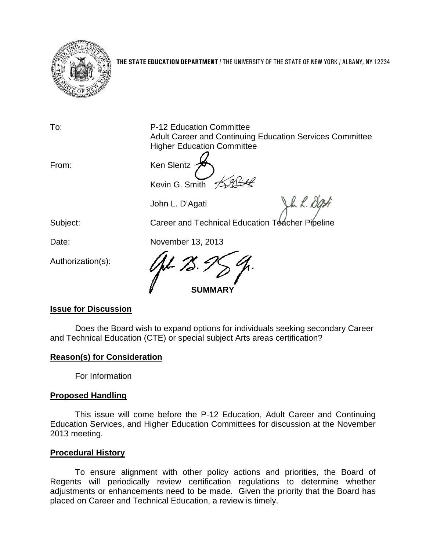

**THE STATE EDUCATION DEPARTMENT** / THE UNIVERSITY OF THE STATE OF NEW YORK / ALBANY, NY 12234

To: P-12 Education Committee Adult Career and Continuing Education Services Committee Higher Education Committee

John R. Dy

From: Ken Slentz Kevin G. Smith

John L. D'Agati

Subject: Career and Technical Education Teacher Pipeline

Date: November 13, 2013

Authorization(s):

**SUMMARY**

# **Issue for Discussion**

Does the Board wish to expand options for individuals seeking secondary Career and Technical Education (CTE) or special subject Arts areas certification?

# **Reason(s) for Consideration**

For Information

## **Proposed Handling**

This issue will come before the P-12 Education, Adult Career and Continuing Education Services, and Higher Education Committees for discussion at the November 2013 meeting.

## **Procedural History**

To ensure alignment with other policy actions and priorities, the Board of Regents will periodically review certification regulations to determine whether adjustments or enhancements need to be made. Given the priority that the Board has placed on Career and Technical Education, a review is timely.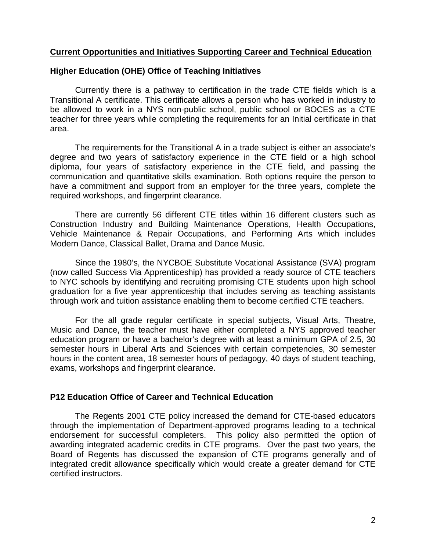#### **Current Opportunities and Initiatives Supporting Career and Technical Education**

#### **Higher Education (OHE) Office of Teaching Initiatives**

Currently there is a pathway to certification in the trade CTE fields which is a Transitional A certificate. This certificate allows a person who has worked in industry to be allowed to work in a NYS non-public school, public school or BOCES as a CTE teacher for three years while completing the requirements for an Initial certificate in that area.

The requirements for the Transitional A in a trade subject is either an associate's degree and two years of satisfactory experience in the CTE field or a high school diploma, four years of satisfactory experience in the CTE field, and passing the communication and quantitative skills examination. Both options require the person to have a commitment and support from an employer for the three years, complete the required workshops, and fingerprint clearance.

There are currently 56 different CTE titles within 16 different clusters such as Construction Industry and Building Maintenance Operations, Health Occupations, Vehicle Maintenance & Repair Occupations, and Performing Arts which includes Modern Dance, Classical Ballet, Drama and Dance Music.

Since the 1980's, the NYCBOE Substitute Vocational Assistance (SVA) program (now called Success Via Apprenticeship) has provided a ready source of CTE teachers to NYC schools by identifying and recruiting promising CTE students upon high school graduation for a five year apprenticeship that includes serving as teaching assistants through work and tuition assistance enabling them to become certified CTE teachers.

For the all grade regular certificate in special subjects, Visual Arts, Theatre, Music and Dance, the teacher must have either completed a NYS approved teacher education program or have a bachelor's degree with at least a minimum GPA of 2.5, 30 semester hours in Liberal Arts and Sciences with certain competencies, 30 semester hours in the content area, 18 semester hours of pedagogy, 40 days of student teaching, exams, workshops and fingerprint clearance.

## **P12 Education Office of Career and Technical Education**

The Regents 2001 CTE policy increased the demand for CTE-based educators through the implementation of Department-approved programs leading to a technical endorsement for successful completers. This policy also permitted the option of awarding integrated academic credits in CTE programs. Over the past two years, the Board of Regents has discussed the expansion of CTE programs generally and of integrated credit allowance specifically which would create a greater demand for CTE certified instructors.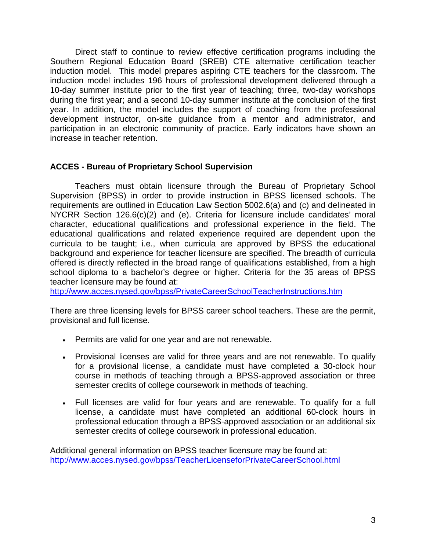Direct staff to continue to review effective certification programs including the Southern Regional Education Board (SREB) CTE alternative certification teacher induction model. This model prepares aspiring CTE teachers for the classroom. The induction model includes 196 hours of professional development delivered through a 10-day summer institute prior to the first year of teaching; three, two-day workshops during the first year; and a second 10-day summer institute at the conclusion of the first year. In addition, the model includes the support of coaching from the professional development instructor, on-site guidance from a mentor and administrator, and participation in an electronic community of practice. Early indicators have shown an increase in teacher retention.

## **ACCES - Bureau of Proprietary School Supervision**

Teachers must obtain licensure through the Bureau of Proprietary School Supervision (BPSS) in order to provide instruction in BPSS licensed schools. The requirements are outlined in Education Law Section 5002.6(a) and (c) and delineated in NYCRR Section 126.6(c)(2) and (e). Criteria for licensure include candidates' moral character, educational qualifications and professional experience in the field. The educational qualifications and related experience required are dependent upon the curricula to be taught; i.e., when curricula are approved by BPSS the educational background and experience for teacher licensure are specified. The breadth of curricula offered is directly reflected in the broad range of qualifications established, from a high school diploma to a bachelor's degree or higher. Criteria for the 35 areas of BPSS teacher licensure may be found at:

<http://www.acces.nysed.gov/bpss/PrivateCareerSchoolTeacherInstructions.htm>

There are three licensing levels for BPSS career school teachers. These are the permit, provisional and full license.

- Permits are valid for one year and are not renewable.
- Provisional licenses are valid for three years and are not renewable. To qualify for a provisional license, a candidate must have completed a 30-clock hour course in methods of teaching through a BPSS-approved association or three semester credits of college coursework in methods of teaching.
- Full licenses are valid for four years and are renewable. To qualify for a full license, a candidate must have completed an additional 60-clock hours in professional education through a BPSS-approved association or an additional six semester credits of college coursework in professional education.

Additional general information on BPSS teacher licensure may be found at: <http://www.acces.nysed.gov/bpss/TeacherLicenseforPrivateCareerSchool.html>